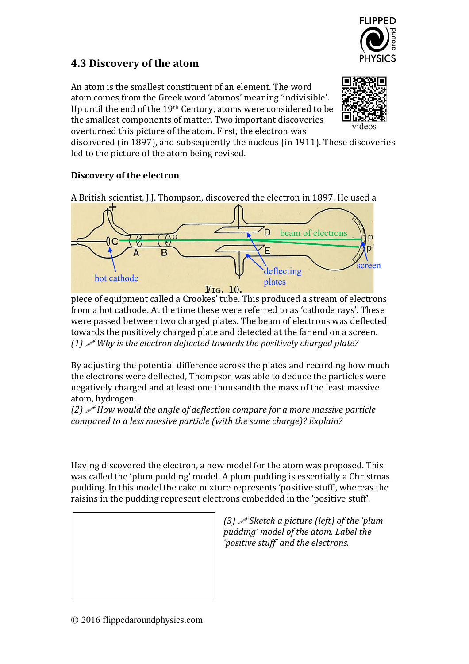

## **4.3 Discovery of the atom**

An atom is the smallest constituent of an element. The word atom comes from the Greek word 'atomos' meaning 'indivisible'. Up until the end of the  $19<sup>th</sup>$  Century, atoms were considered to be the smallest components of matter. Two important discoveries overturned this picture of the atom. First, the electron was



discovered (in 1897), and subsequently the nucleus (in 1911). These discoveries led to the picture of the atom being revised.

## **Discovery of the electron**

A British scientist, J.J. Thompson, discovered the electron in 1897. He used a



piece of equipment called a Crookes' tube. This produced a stream of electrons from a hot cathode. At the time these were referred to as 'cathode rays'. These were passed between two charged plates. The beam of electrons was deflected towards the positively charged plate and detected at the far end on a screen. *(1)*  $\mathscr{P}$ *Why* is the electron deflected towards the positively charged plate?

By adjusting the potential difference across the plates and recording how much the electrons were deflected, Thompson was able to deduce the particles were negatively charged and at least one thousandth the mass of the least massive atom, hydrogen.

*(2)*  $\mathscr I$  *How would the angle of deflection compare for a more massive particle compared to a less massive particle (with the same charge)?* Explain?

Having discovered the electron, a new model for the atom was proposed. This was called the 'plum pudding' model. A plum pudding is essentially a Christmas pudding. In this model the cake mixture represents 'positive stuff', whereas the raisins in the pudding represent electrons embedded in the 'positive stuff'.



*(3) Sketch a picture (left) of the 'plum pudding' model of the atom. Label the*  'positive stuff' and the electrons.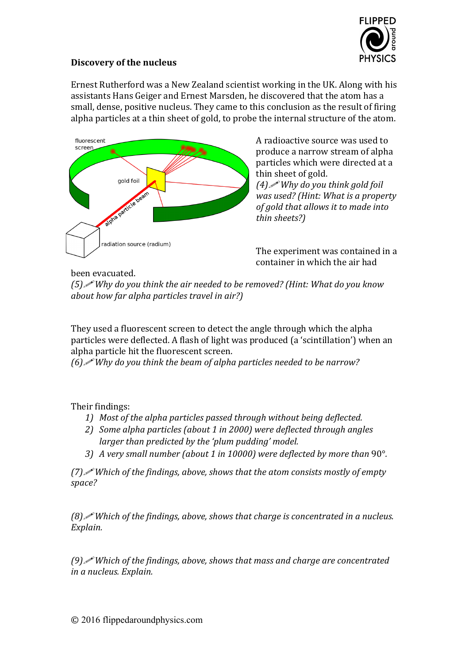

## **Discovery of the nucleus**

Ernest Rutherford was a New Zealand scientist working in the UK. Along with his assistants Hans Geiger and Ernest Marsden, he discovered that the atom has a small, dense, positive nucleus. They came to this conclusion as the result of firing alpha particles at a thin sheet of gold, to probe the internal structure of the atom.



A radioactive source was used to produce a narrow stream of alpha particles which were directed at a thin sheet of gold. *(4)*! *Why do you think gold foil was used?* (Hint: What is a property *of gold that allows it to made into thin sheets?)*

The experiment was contained in a container in which the air had

## been evacuated.

*(5) Why* do you think the air needed to be removed? *(Hint: What do you know about how far alpha particles travel in air?)* 

They used a fluorescent screen to detect the angle through which the alpha particles were deflected. A flash of light was produced (a 'scintillation') when an alpha particle hit the fluorescent screen.

*(6) Why* do you think the beam of alpha particles needed to be narrow?

Their findings:

- 1) Most of the alpha particles passed through without being deflected.
- 2) *Some alpha particles (about 1 in 2000)* were deflected *through angles larger* than predicted by the 'plum pudding' model.
- *3) A* very small number (about 1 in 10000) were deflected by more than 90°.

*(7) Which of the findings, above, shows that the atom consists mostly of empty space?*

*(8) Which of the findings, above, shows that charge is concentrated in a nucleus. Explain.*

*(9) Vhich of the findings, above, shows that mass and charge are concentrated in a nucleus. Explain.*